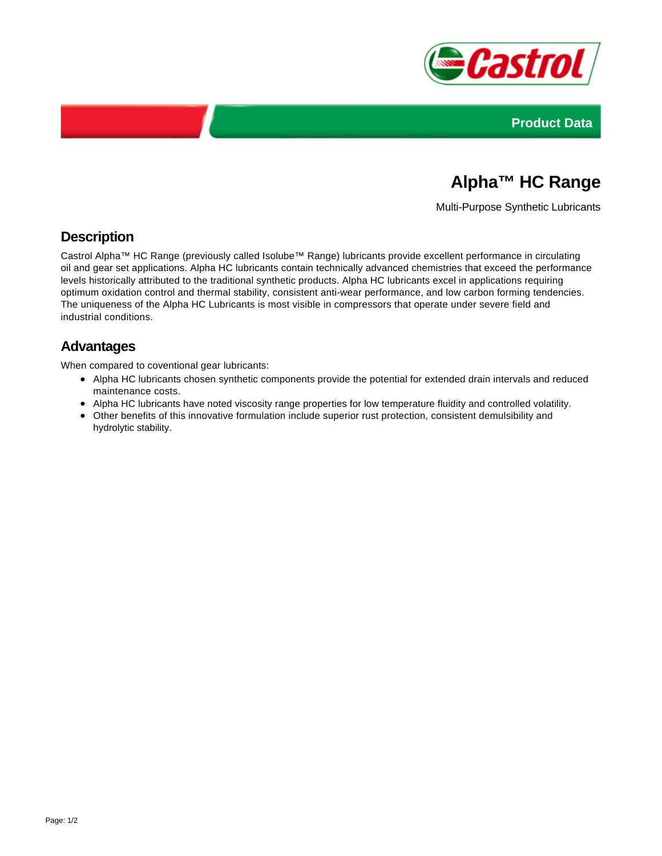



# **Alpha™ HC Range**

Multi-Purpose Synthetic Lubricants

### **Description**

Castrol Alpha™ HC Range (previously called Isolube™ Range) lubricants provide excellent performance in circulating oil and gear set applications. Alpha HC lubricants contain technically advanced chemistries that exceed the performance levels historically attributed to the traditional synthetic products. Alpha HC lubricants excel in applications requiring optimum oxidation control and thermal stability, consistent anti-wear performance, and low carbon forming tendencies. The uniqueness of the Alpha HC Lubricants is most visible in compressors that operate under severe field and industrial conditions.

### **Advantages**

When compared to coventional gear lubricants:

- Alpha HC lubricants chosen synthetic components provide the potential for extended drain intervals and reduced maintenance costs.
- Alpha HC lubricants have noted viscosity range properties for low temperature fluidity and controlled volatility.
- Other benefits of this innovative formulation include superior rust protection, consistent demulsibility and hydrolytic stability.